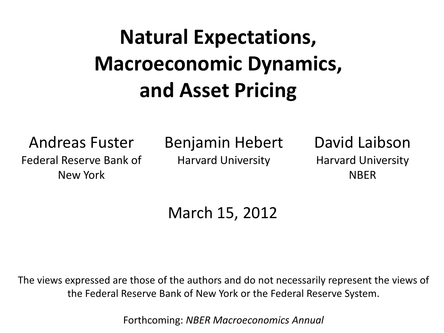## **Natural Expectations, Macroeconomic Dynamics, and Asset Pricing**

Andreas Fuster Federal Reserve Bank of New York

Benjamin Hebert Harvard University

David Laibson Harvard University NBER

March 15, 2012

The views expressed are those of the authors and do not necessarily represent the views of the Federal Reserve Bank of New York or the Federal Reserve System.

Forthcoming: *NBER Macroeconomics Annual*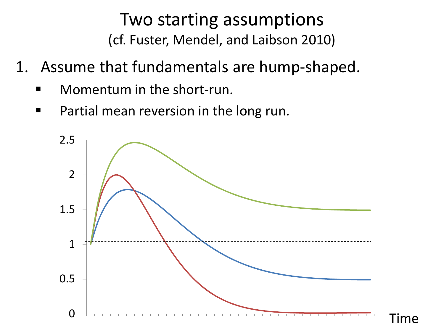#### Two starting assumptions (cf. Fuster, Mendel, and Laibson 2010)

- 1. Assume that fundamentals are hump-shaped.
	- Momentum in the short-run.
	- **Partial mean reversion in the long run.**

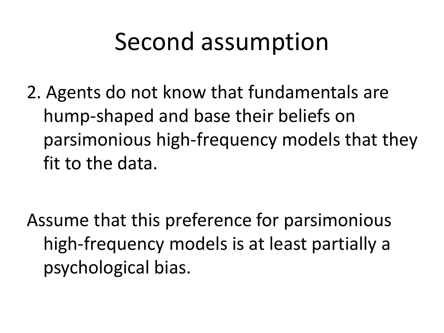## Second assumption

2. Agents do not know that fundamentals are hump-shaped and base their beliefs on parsimonious high-frequency models that they fit to the data.

Assume that this preference for parsimonious high-frequency models is at least partially a psychological bias.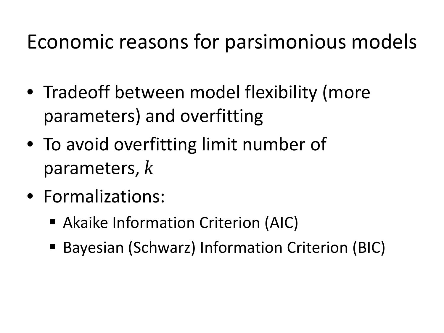## Economic reasons for parsimonious models

- Tradeoff between model flexibility (more parameters) and overfitting
- To avoid overfitting limit number of parameters, *k*
- Formalizations:
	- Akaike Information Criterion (AIC)
	- Bayesian (Schwarz) Information Criterion (BIC)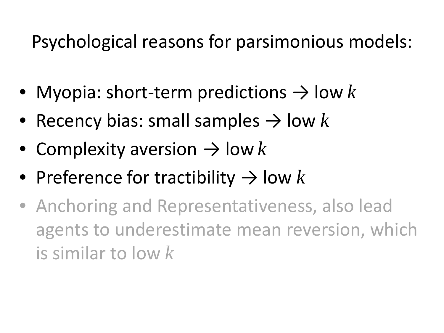Psychological reasons for parsimonious models:

- Myopia: short-term predictions  $\rightarrow$  low k
- Recency bias: small samples  $\rightarrow$  low k
- Complexity aversion  $\rightarrow$  low k
- Preference for tractibility  $\rightarrow$  low k
- Anchoring and Representativeness, also lead agents to underestimate mean reversion, which is similar to low *k*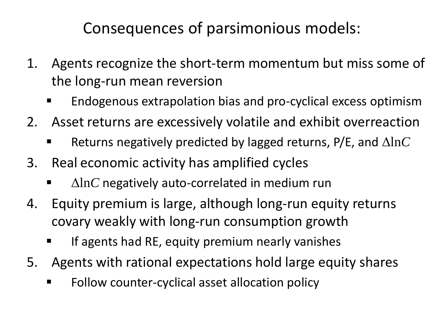Consequences of parsimonious models:

- 1. Agents recognize the short-term momentum but miss some of the long-run mean reversion
	- Endogenous extrapolation bias and pro-cyclical excess optimism
- 2. Asset returns are excessively volatile and exhibit overreaction
	- Returns negatively predicted by lagged returns, P/E, and Δln*C*
- 3. Real economic activity has amplified cycles
	- Δln*C* negatively auto-correlated in medium run
- 4. Equity premium is large, although long-run equity returns covary weakly with long-run consumption growth
	- If agents had RE, equity premium nearly vanishes
- 5. Agents with rational expectations hold large equity shares
	- Follow counter-cyclical asset allocation policy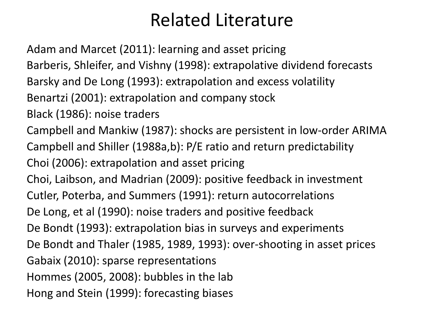#### Related Literature

Adam and Marcet (2011): learning and asset pricing Barberis, Shleifer, and Vishny (1998): extrapolative dividend forecasts Barsky and De Long (1993): extrapolation and excess volatility Benartzi (2001): extrapolation and company stock Black (1986): noise traders Campbell and Mankiw (1987): shocks are persistent in low-order ARIMA Campbell and Shiller (1988a,b): P/E ratio and return predictability Choi (2006): extrapolation and asset pricing Choi, Laibson, and Madrian (2009): positive feedback in investment Cutler, Poterba, and Summers (1991): return autocorrelations De Long, et al (1990): noise traders and positive feedback De Bondt (1993): extrapolation bias in surveys and experiments De Bondt and Thaler (1985, 1989, 1993): over-shooting in asset prices Gabaix (2010): sparse representations Hommes (2005, 2008): bubbles in the lab Hong and Stein (1999): forecasting biases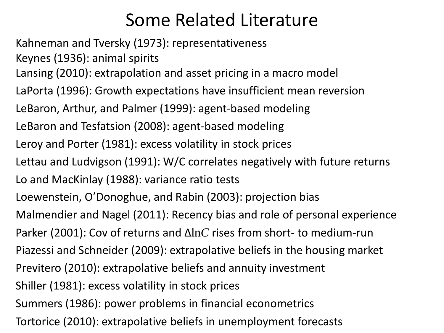### Some Related Literature

Kahneman and Tversky (1973): representativeness Keynes (1936): animal spirits Lansing (2010): extrapolation and asset pricing in a macro model LaPorta (1996): Growth expectations have insufficient mean reversion LeBaron, Arthur, and Palmer (1999): agent-based modeling LeBaron and Tesfatsion (2008): agent-based modeling Leroy and Porter (1981): excess volatility in stock prices Lettau and Ludvigson (1991): W/C correlates negatively with future returns Lo and MacKinlay (1988): variance ratio tests Loewenstein, O'Donoghue, and Rabin (2003): projection bias Malmendier and Nagel (2011): Recency bias and role of personal experience Parker (2001): Cov of returns and Δln*C* rises from short- to medium-run Piazessi and Schneider (2009): extrapolative beliefs in the housing market Previtero (2010): extrapolative beliefs and annuity investment Shiller (1981): excess volatility in stock prices Summers (1986): power problems in financial econometrics Tortorice (2010): extrapolative beliefs in unemployment forecasts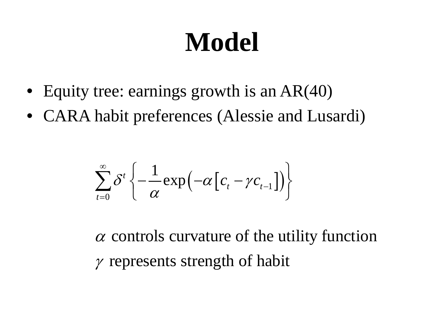# **Model**

- Equity tree: earnings growth is an AR(40)
- CARA habit preferences (Alessie and Lusardi)

$$
\sum_{t=0}^{\infty} \delta^t \left\{ -\frac{1}{\alpha} \exp\left(-\alpha \left[c_t - \gamma c_{t-1}\right]\right) \right\}
$$

 $\alpha$  controls curvature of the utility function  $\gamma$  represents strength of habit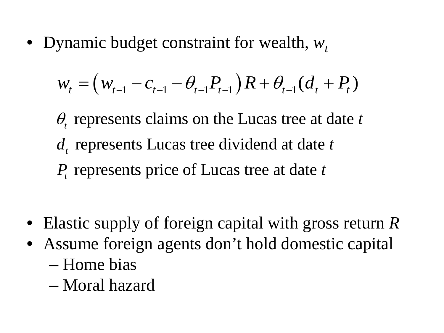• Dynamic budget constraint for wealth, *wt*

$$
w_{t} = \left(w_{t-1} - c_{t-1} - \theta_{t-1}P_{t-1}\right)R + \theta_{t-1}\left(d_{t} + P_{t}\right)
$$

 $\theta$ <sub>*t*</sub> represents claims on the Lucas tree at date  $t$  $d_t$  represents Lucas tree dividend at date  $t$ *P*<sub>t</sub> represents price of Lucas tree at date *t* 

- Elastic supply of foreign capital with gross return *R*
- Assume foreign agents don't hold domestic capital – Home bias
	- Moral hazard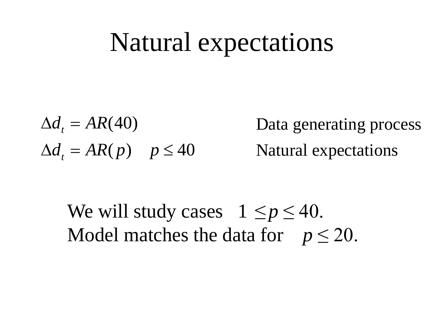## Natural expectations

 $\Delta d_t = AR(40)$  $\Delta d_t = AR(p)$   $p \le 40$ Data generating process Natural expectations

We will study cases  $1 \le p \le 40$ . Model matches the data for  $p \leq 20$ .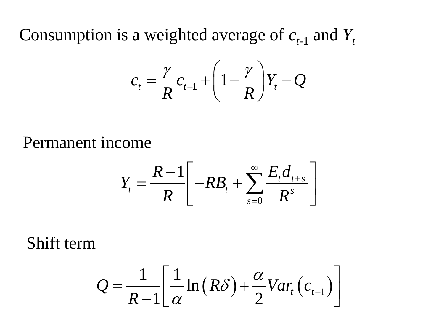Consumption is a weighted average of  $c_{t-1}$  and  $Y_t$ 

$$
c_t = \frac{\gamma}{R} c_{t-1} + \left(1 - \frac{\gamma}{R}\right) Y_t - Q
$$

Permanent income

$$
Y_t = \frac{R-1}{R} \left[ -RB_t + \sum_{s=0}^{\infty} \frac{E_t d_{t+s}}{R^s} \right]
$$

Shift term

$$
Q = \frac{1}{R-1} \left[ \frac{1}{\alpha} \ln(R\delta) + \frac{\alpha}{2} Var_t \left( c_{t+1} \right) \right]
$$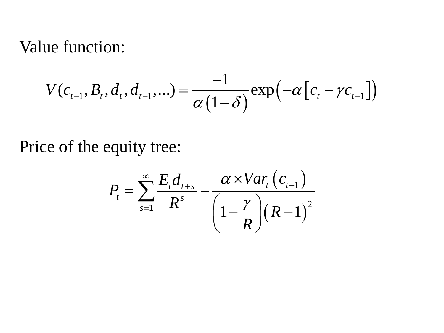#### Value function:

$$
V(c_{t-1}, B_t, d_t, d_{t-1}, \ldots) = \frac{-1}{\alpha (1 - \delta)} \exp(-\alpha [c_t - \gamma c_{t-1}])
$$

#### Price of the equity tree:

$$
P_{t} = \sum_{s=1}^{\infty} \frac{E_{t}d_{t+s}}{R^{s}} - \frac{\alpha \times Var_{t}(c_{t+1})}{\left(1 - \frac{\gamma}{R}\right)\left(R - 1\right)^{2}}
$$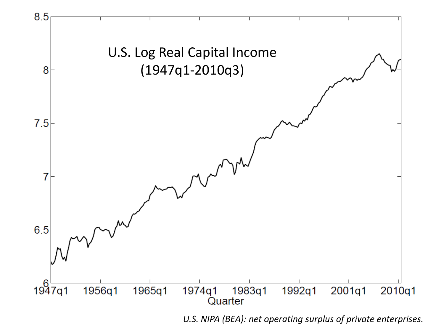

*U.S. NIPA (BEA): net operating surplus of private enterprises.*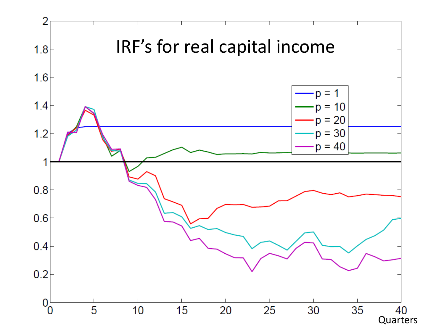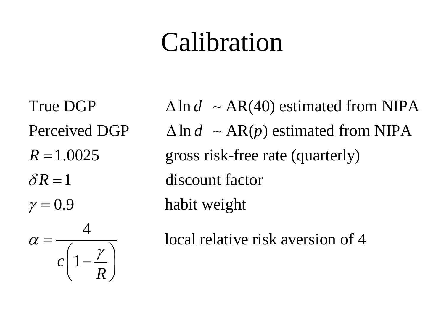# Calibration

 $R =$  $\delta R =$  $c \mid 1$ *R*  $\gamma =$  $\alpha$ γ  $=\frac{1}{c\left(1-\frac{\gamma}{R}\right)}$ 

True DGP  $\triangle \ln d \sim AR(40)$  estimated from NIPA Perceived DGP  $\triangle \ln d \sim AR(p)$  estimated from NIPA gross risk-free rate (quarterly) 1 discount factor habit weight

local relative risk aversion of 4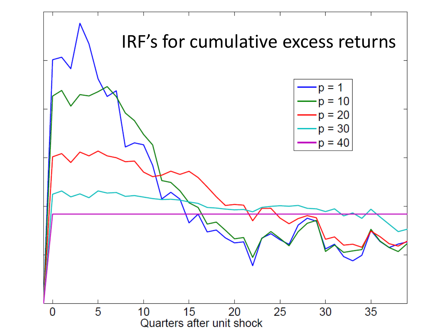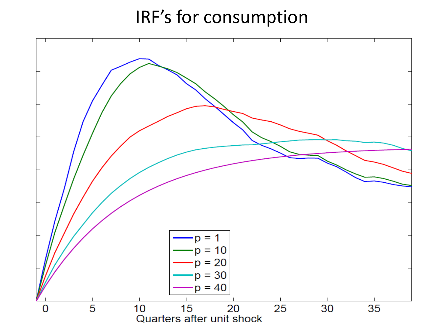#### IRF's for consumption

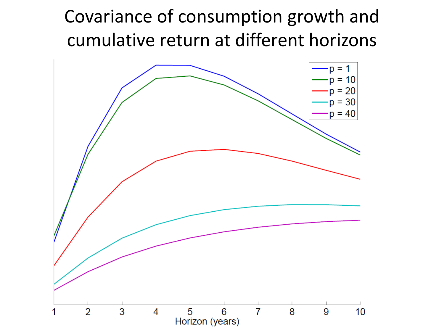### Covariance of consumption growth and cumulative return at different horizons

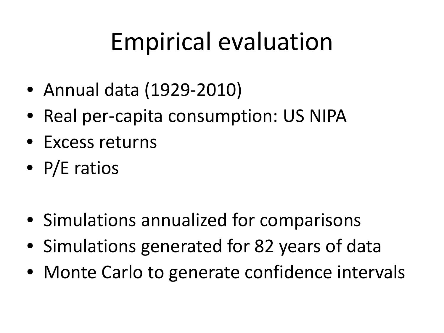# Empirical evaluation

- Annual data (1929-2010)
- Real per-capita consumption: US NIPA
- Excess returns
- P/E ratios
- Simulations annualized for comparisons
- Simulations generated for 82 years of data
- Monte Carlo to generate confidence intervals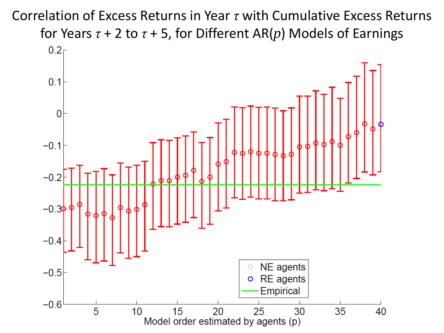Correlation of Excess Returns in Year *τ* with Cumulative Excess Returns for Years *τ* + 2 to *τ* + 5, for Different AR(*p*) Models of Earnings

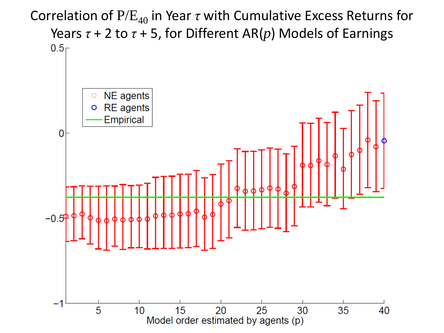Correlation of  $P/E_{40}$  in Year  $\tau$  with Cumulative Excess Returns for Years *τ* + 2 to *τ* + 5, for Different AR(*p*) Models of Earnings $0.5<sub>1</sub>$ 

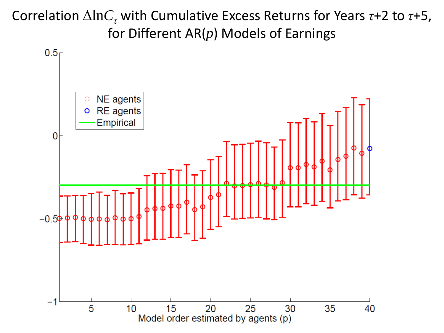Correlation Δln*C<sup>τ</sup>* with Cumulative Excess Returns for Years *τ*+2 to *τ*+5, for Different AR(*p*) Models of Earnings

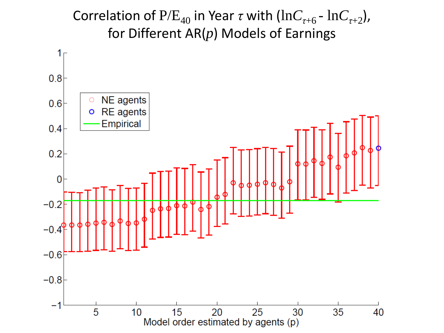Correlation of  $P/E_{40}$  in Year *τ* with  $(lnC_{\tau+6} - lnC_{\tau+2})$ , for Different AR(*p*) Models of Earnings

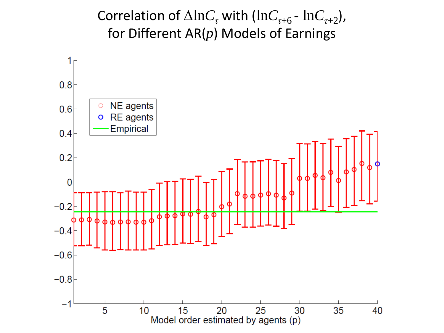Correlation of  $\Delta \ln C_{\tau}$  with  $(\ln C_{\tau+6} - \ln C_{\tau+2})$ , for Different AR(*p*) Models of Earnings

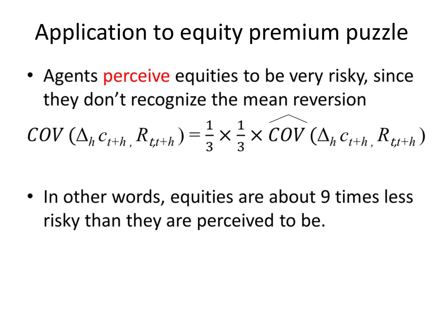## Application to equity premium puzzle

• Agents perceive equities to be very risky, since they don't recognize the mean reversion

$$
COV\left(\Delta_h c_{t+h}, R_{t,t+h}\right) = \frac{1}{3} \times \frac{1}{3} \times \widetilde{COV}\left(\Delta_h c_{t+h}, R_{t,t+h}\right)
$$

• In other words, equities are about 9 times less risky than they are perceived to be.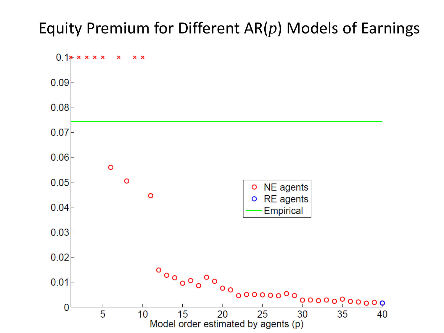#### Equity Premium for Different AR(*p*) Models of Earnings

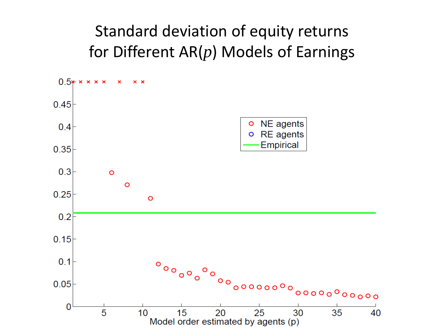#### Standard deviation of equity returns for Different AR(*p*) Models of Earnings

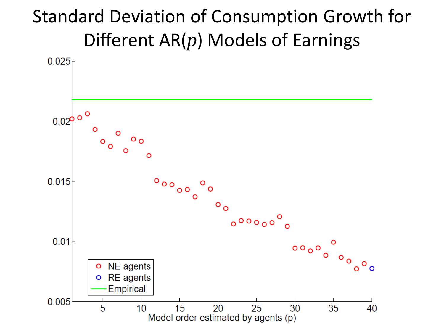### Standard Deviation of Consumption Growth for Different AR(*p*) Models of Earnings

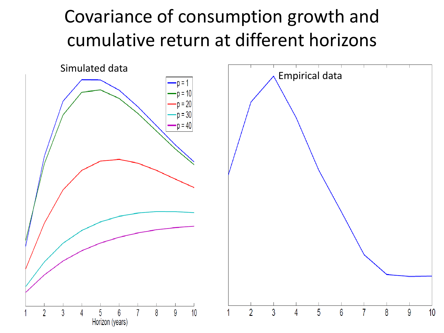## Covariance of consumption growth and cumulative return at different horizons

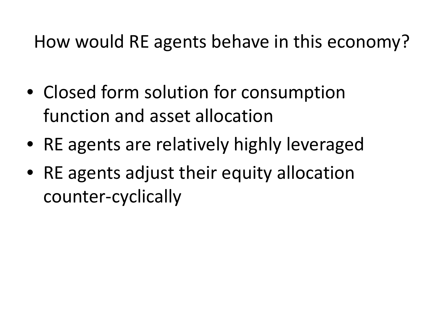### How would RE agents behave in this economy?

- Closed form solution for consumption function and asset allocation
- RE agents are relatively highly leveraged
- RE agents adjust their equity allocation counter-cyclically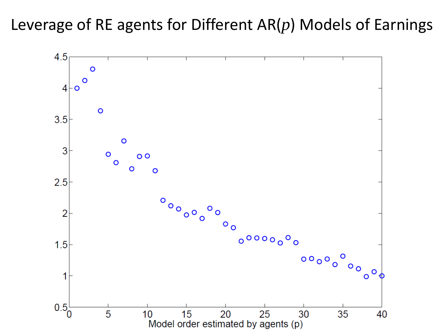#### Leverage of RE agents for Different AR(*p*) Models of Earnings

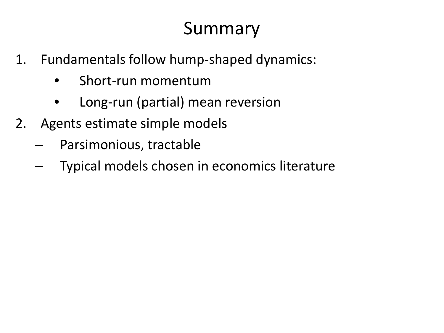### Summary

- 1. Fundamentals follow hump-shaped dynamics:
	- Short-run momentum
	- Long-run (partial) mean reversion
- 2. Agents estimate simple models
	- Parsimonious, tractable
	- Typical models chosen in economics literature